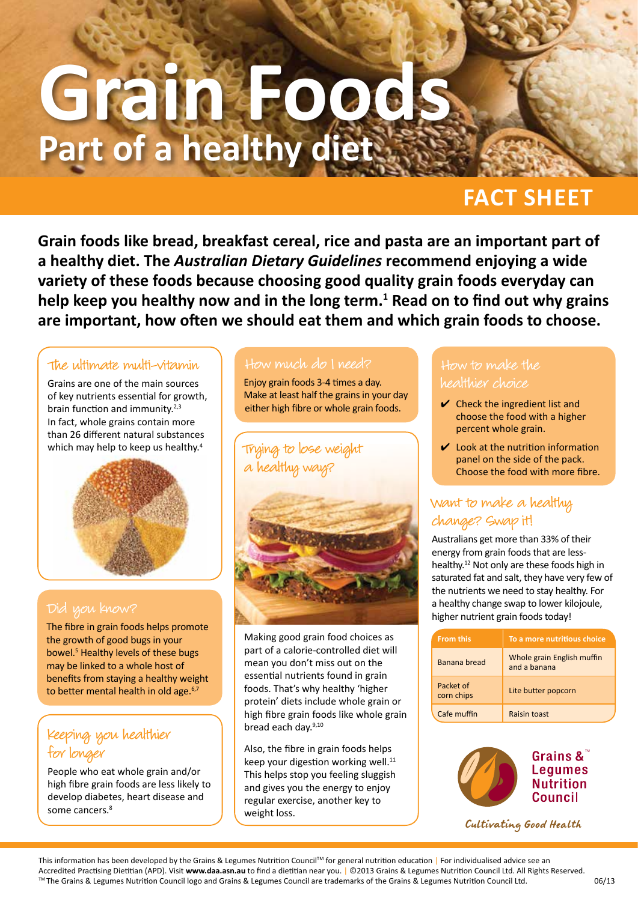# **Grain Foods Part of a healthy diet**

# **FACT SHEET**

**Grain foods like bread, breakfast cereal, rice and pasta are an important part of a healthy diet. The** *Australian Dietary Guidelines* **recommend enjoying a wide variety of these foods because choosing good quality grain foods everyday can**  help keep you healthy now and in the long term.<sup>1</sup> Read on to find out why grains **are important, how often we should eat them and which grain foods to choose.**

#### The ultimate multi-vitamin

Grains are one of the main sources of key nutrients essential for growth, brain function and immunity. $2,3$ In fact, whole grains contain more than 26 different natural substances which may help to keep us healthy.<sup>4</sup>



The fibre in grain foods helps promote the growth of good bugs in your bowel.<sup>5</sup> Healthy levels of these bugs may be linked to a whole host of benefits from staying a healthy weight to better mental health in old age. $6,7$ 

### Keeping you healthier for longer

People who eat whole grain and/or high fibre grain foods are less likely to develop diabetes, heart disease and some cancers.<sup>8</sup>

#### How much do I need?

Enjoy grain foods 3-4 times a day. Make at least half the grains in your day either high fibre or whole grain foods.



Making good grain food choices as part of a calorie-controlled diet will mean you don't miss out on the essential nutrients found in grain foods. That's why healthy 'higher protein' diets include whole grain or high fibre grain foods like whole grain bread each day.<sup>9,10</sup>

Also, the fibre in grain foods helps keep your digestion working well.<sup>11</sup> This helps stop you feeling sluggish and gives you the energy to enjoy regular exercise, another key to weight loss.

#### How to make the healthier choice

- $\vee$  Check the ingredient list and choose the food with a higher percent whole grain.
- $\vee$  Look at the nutrition information panel on the side of the pack. Choose the food with more fibre.

### Want to make a healthy change? Swap it!

Australians get more than 33% of their energy from grain foods that are lesshealthy.12 Not only are these foods high in saturated fat and salt, they have very few of the nutrients we need to stay healthy. For a healthy change swap to lower kilojoule, higher nutrient grain foods today!

| <b>From this</b>        | To a more nutritious choice                |
|-------------------------|--------------------------------------------|
| Banana bread            | Whole grain English muffin<br>and a banana |
| Packet of<br>corn chips | Lite butter popcorn                        |
| Cafe muffin             | Raisin toast                               |



Cultivating Good Health

This information has been developed by the Grains & Legumes Nutrition Council™ for general nutrition education | For individualised advice see an Accredited Practising Dietitian (APD). Visit **www.daa.asn.au** to find a dietitian near you. | ©2013 Grains & Legumes Nutrition Council Ltd. All Rights Reserved. ™ The Grains & Legumes Nutrition Council logo and Grains & Legumes Council are trademarks of the Grains & Legumes Nutrition Council Ltd. 06/13